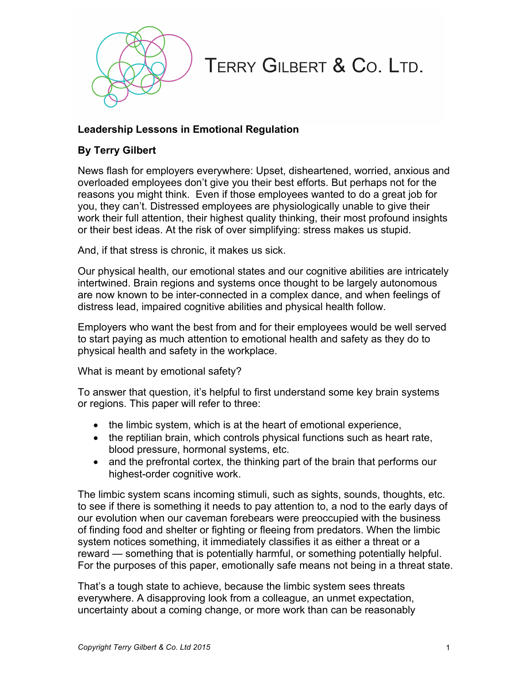

## TERRY GILBERT & Co. LTD.

## **Leadership Lessons in Emotional Regulation**

## **By Terry Gilbert**

News flash for employers everywhere: Upset, disheartened, worried, anxious and overloaded employees don't give you their best efforts. But perhaps not for the reasons you might think. Even if those employees wanted to do a great job for you, they can't. Distressed employees are physiologically unable to give their work their full attention, their highest quality thinking, their most profound insights or their best ideas. At the risk of over simplifying: stress makes us stupid.

And, if that stress is chronic, it makes us sick.

Our physical health, our emotional states and our cognitive abilities are intricately intertwined. Brain regions and systems once thought to be largely autonomous are now known to be inter-connected in a complex dance, and when feelings of distress lead, impaired cognitive abilities and physical health follow.

Employers who want the best from and for their employees would be well served to start paying as much attention to emotional health and safety as they do to physical health and safety in the workplace.

What is meant by emotional safety?

To answer that question, it's helpful to first understand some key brain systems or regions. This paper will refer to three:

- the limbic system, which is at the heart of emotional experience,
- the reptilian brain, which controls physical functions such as heart rate, blood pressure, hormonal systems, etc.
- and the prefrontal cortex, the thinking part of the brain that performs our highest-order cognitive work.

The limbic system scans incoming stimuli, such as sights, sounds, thoughts, etc. to see if there is something it needs to pay attention to, a nod to the early days of our evolution when our caveman forebears were preoccupied with the business of finding food and shelter or fighting or fleeing from predators. When the limbic system notices something, it immediately classifies it as either a threat or a reward — something that is potentially harmful, or something potentially helpful. For the purposes of this paper, emotionally safe means not being in a threat state.

That's a tough state to achieve, because the limbic system sees threats everywhere. A disapproving look from a colleague, an unmet expectation, uncertainty about a coming change, or more work than can be reasonably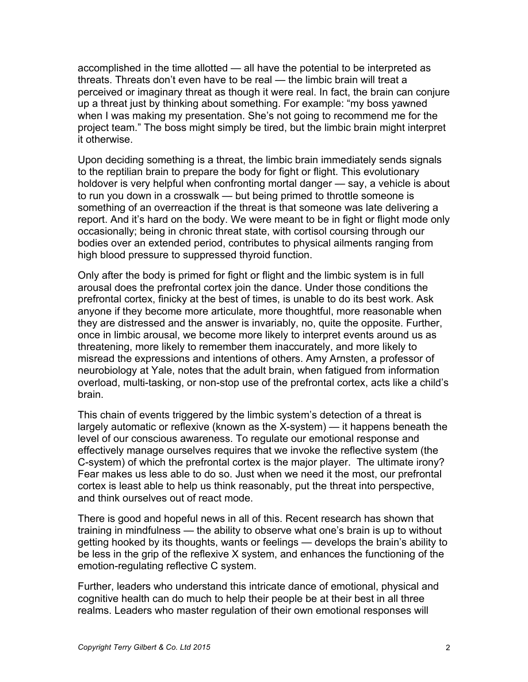accomplished in the time allotted — all have the potential to be interpreted as threats. Threats don't even have to be real — the limbic brain will treat a perceived or imaginary threat as though it were real. In fact, the brain can conjure up a threat just by thinking about something. For example: "my boss yawned when I was making my presentation. She's not going to recommend me for the project team." The boss might simply be tired, but the limbic brain might interpret it otherwise.

Upon deciding something is a threat, the limbic brain immediately sends signals to the reptilian brain to prepare the body for fight or flight. This evolutionary holdover is very helpful when confronting mortal danger — say, a vehicle is about to run you down in a crosswalk — but being primed to throttle someone is something of an overreaction if the threat is that someone was late delivering a report. And it's hard on the body. We were meant to be in fight or flight mode only occasionally; being in chronic threat state, with cortisol coursing through our bodies over an extended period, contributes to physical ailments ranging from high blood pressure to suppressed thyroid function.

Only after the body is primed for fight or flight and the limbic system is in full arousal does the prefrontal cortex join the dance. Under those conditions the prefrontal cortex, finicky at the best of times, is unable to do its best work. Ask anyone if they become more articulate, more thoughtful, more reasonable when they are distressed and the answer is invariably, no, quite the opposite. Further, once in limbic arousal, we become more likely to interpret events around us as threatening, more likely to remember them inaccurately, and more likely to misread the expressions and intentions of others. Amy Arnsten, a professor of neurobiology at Yale, notes that the adult brain, when fatigued from information overload, multi-tasking, or non-stop use of the prefrontal cortex, acts like a child's brain.

This chain of events triggered by the limbic system's detection of a threat is largely automatic or reflexive (known as the X-system) — it happens beneath the level of our conscious awareness. To regulate our emotional response and effectively manage ourselves requires that we invoke the reflective system (the C-system) of which the prefrontal cortex is the major player. The ultimate irony? Fear makes us less able to do so. Just when we need it the most, our prefrontal cortex is least able to help us think reasonably, put the threat into perspective, and think ourselves out of react mode.

There is good and hopeful news in all of this. Recent research has shown that training in mindfulness — the ability to observe what one's brain is up to without getting hooked by its thoughts, wants or feelings — develops the brain's ability to be less in the grip of the reflexive X system, and enhances the functioning of the emotion-regulating reflective C system.

Further, leaders who understand this intricate dance of emotional, physical and cognitive health can do much to help their people be at their best in all three realms. Leaders who master regulation of their own emotional responses will